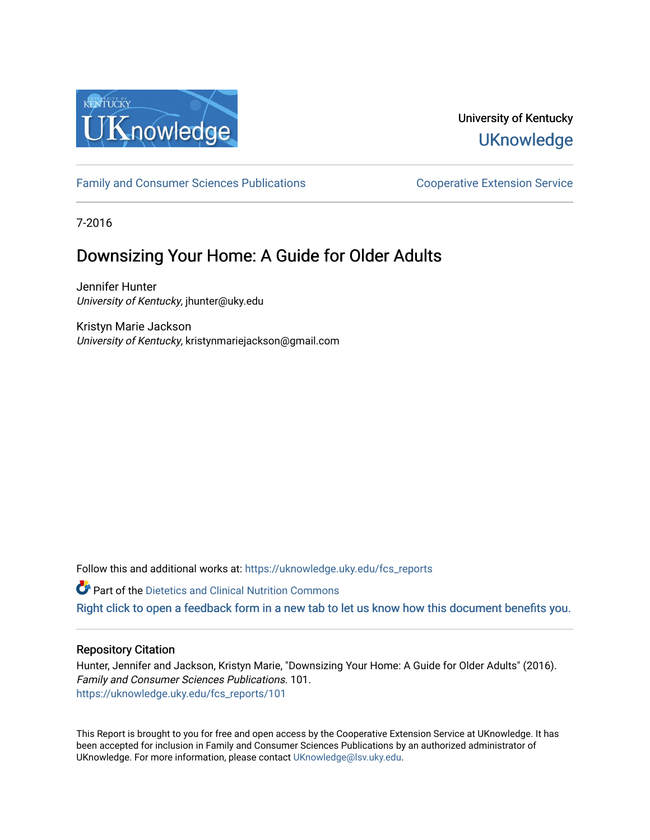

# University of Kentucky **UKnowledge**

[Family and Consumer Sciences Publications](https://uknowledge.uky.edu/fcs_reports) **Consumer Science Extension Service** Cooperative Extension Service

7-2016

# Downsizing Your Home: A Guide for Older Adults

Jennifer Hunter University of Kentucky, jhunter@uky.edu

Kristyn Marie Jackson University of Kentucky, kristynmariejackson@gmail.com

Follow this and additional works at: [https://uknowledge.uky.edu/fcs\\_reports](https://uknowledge.uky.edu/fcs_reports?utm_source=uknowledge.uky.edu%2Ffcs_reports%2F101&utm_medium=PDF&utm_campaign=PDFCoverPages) 

**P** Part of the Dietetics and Clinical Nutrition Commons

[Right click to open a feedback form in a new tab to let us know how this document benefits you.](https://uky.az1.qualtrics.com/jfe/form/SV_9mq8fx2GnONRfz7)

#### Repository Citation

Hunter, Jennifer and Jackson, Kristyn Marie, "Downsizing Your Home: A Guide for Older Adults" (2016). Family and Consumer Sciences Publications. 101. [https://uknowledge.uky.edu/fcs\\_reports/101](https://uknowledge.uky.edu/fcs_reports/101?utm_source=uknowledge.uky.edu%2Ffcs_reports%2F101&utm_medium=PDF&utm_campaign=PDFCoverPages) 

This Report is brought to you for free and open access by the Cooperative Extension Service at UKnowledge. It has been accepted for inclusion in Family and Consumer Sciences Publications by an authorized administrator of UKnowledge. For more information, please contact [UKnowledge@lsv.uky.edu](mailto:UKnowledge@lsv.uky.edu).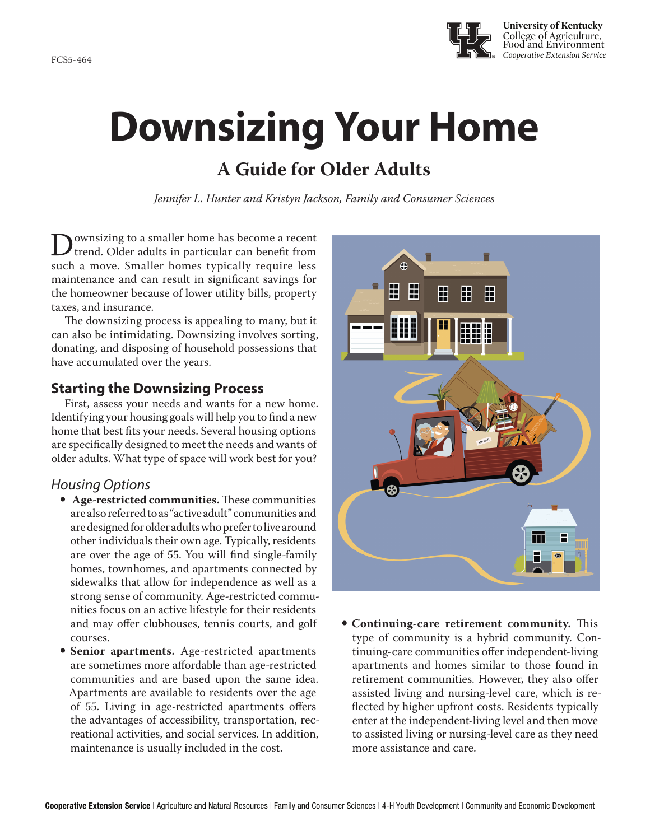FCS5-464



# **Downsizing Your Home**

# **A Guide for Older Adults**

*Jennifer L. Hunter and Kristyn Jackson, Family and Consumer Sciences*

Downsizing to a smaller home has become a recent<br>trend. Older adults in particular can benefit from<br>such a move. Smaller homes typically require less such a move. Smaller homes typically require less maintenance and can result in significant savings for the homeowner because of lower utility bills, property taxes, and insurance.

The downsizing process is appealing to many, but it can also be intimidating. Downsizing involves sorting, donating, and disposing of household possessions that have accumulated over the years.

## **Starting the Downsizing Process**

First, assess your needs and wants for a new home. Identifying your housing goals will help you to find a new home that best fits your needs. Several housing options are specifically designed to meet the needs and wants of older adults. What type of space will work best for you?

## *Housing Options*

- Age-restricted communities. These communities are also referred to as "active adult" communities and are designed for older adults who prefer to live around other individuals their own age. Typically, residents are over the age of 55. You will find single-family homes, townhomes, and apartments connected by sidewalks that allow for independence as well as a strong sense of community. Age-restricted communities focus on an active lifestyle for their residents and may offer clubhouses, tennis courts, and golf courses.
- Senior apartments. Age-restricted apartments are sometimes more affordable than age-restricted communities and are based upon the same idea. Apartments are available to residents over the age of 55. Living in age-restricted apartments offers the advantages of accessibility, transportation, recreational activities, and social services. In addition, maintenance is usually included in the cost.



**• Continuing-care retirement community.** This type of community is a hybrid community. Continuing-care communities offer independent-living apartments and homes similar to those found in retirement communities. However, they also offer assisted living and nursing-level care, which is reflected by higher upfront costs. Residents typically enter at the independent-living level and then move to assisted living or nursing-level care as they need more assistance and care.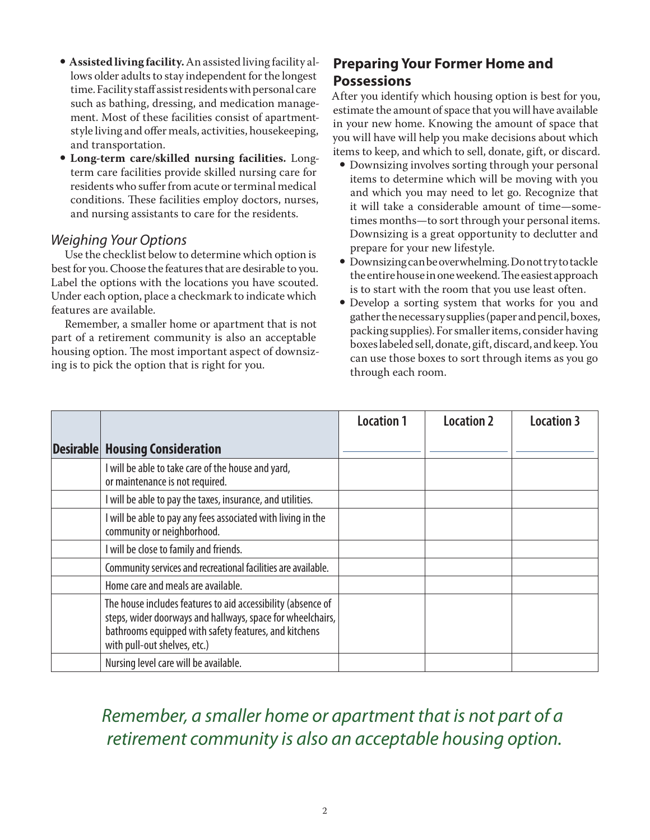- **Assisted living facility.** An assisted living facility allows older adults to stay independent for the longest time. Facility staff assist residents with personal care such as bathing, dressing, and medication management. Most of these facilities consist of apartmentstyle living and offer meals, activities, housekeeping, and transportation.
- y **Long-term care/skilled nursing facilities.** Longterm care facilities provide skilled nursing care for residents who suffer from acute or terminal medical conditions. These facilities employ doctors, nurses, and nursing assistants to care for the residents.

### *Weighing Your Options*

Use the checklist below to determine which option is best for you. Choose the features that are desirable to you. Label the options with the locations you have scouted. Under each option, place a checkmark to indicate which features are available.

Remember, a smaller home or apartment that is not part of a retirement community is also an acceptable housing option. The most important aspect of downsizing is to pick the option that is right for you.

## **Preparing Your Former Home and Possessions**

After you identify which housing option is best for you, estimate the amount of space that you will have available in your new home. Knowing the amount of space that you will have will help you make decisions about which items to keep, and which to sell, donate, gift, or discard.

- Downsizing involves sorting through your personal items to determine which will be moving with you and which you may need to let go. Recognize that it will take a considerable amount of time—sometimes months—to sort through your personal items. Downsizing is a great opportunity to declutter and prepare for your new lifestyle.
- $\bullet$  Downsizing can be overwhelming. Do not try to tackle the entire house in one weekend. The easiest approach is to start with the room that you use least often.
- Develop a sorting system that works for you and gather the necessary supplies (paper and pencil, boxes, packing supplies). For smaller items, consider having boxes labeled sell, donate, gift, discard, and keep. You can use those boxes to sort through items as you go through each room.

|                                                                                                                                                                                                                     | <b>Location 1</b> | <b>Location 2</b> | <b>Location 3</b> |
|---------------------------------------------------------------------------------------------------------------------------------------------------------------------------------------------------------------------|-------------------|-------------------|-------------------|
| <b>Desirable Housing Consideration</b>                                                                                                                                                                              |                   |                   |                   |
| I will be able to take care of the house and yard,<br>or maintenance is not required.                                                                                                                               |                   |                   |                   |
| I will be able to pay the taxes, insurance, and utilities.                                                                                                                                                          |                   |                   |                   |
| I will be able to pay any fees associated with living in the<br>community or neighborhood.                                                                                                                          |                   |                   |                   |
| I will be close to family and friends.                                                                                                                                                                              |                   |                   |                   |
| Community services and recreational facilities are available.                                                                                                                                                       |                   |                   |                   |
| Home care and meals are available.                                                                                                                                                                                  |                   |                   |                   |
| The house includes features to aid accessibility (absence of<br>steps, wider doorways and hallways, space for wheelchairs,<br>bathrooms equipped with safety features, and kitchens<br>with pull-out shelves, etc.) |                   |                   |                   |
| Nursing level care will be available.                                                                                                                                                                               |                   |                   |                   |

# *Remember, a smaller home or apartment that is not part of a retirement community is also an acceptable housing option.*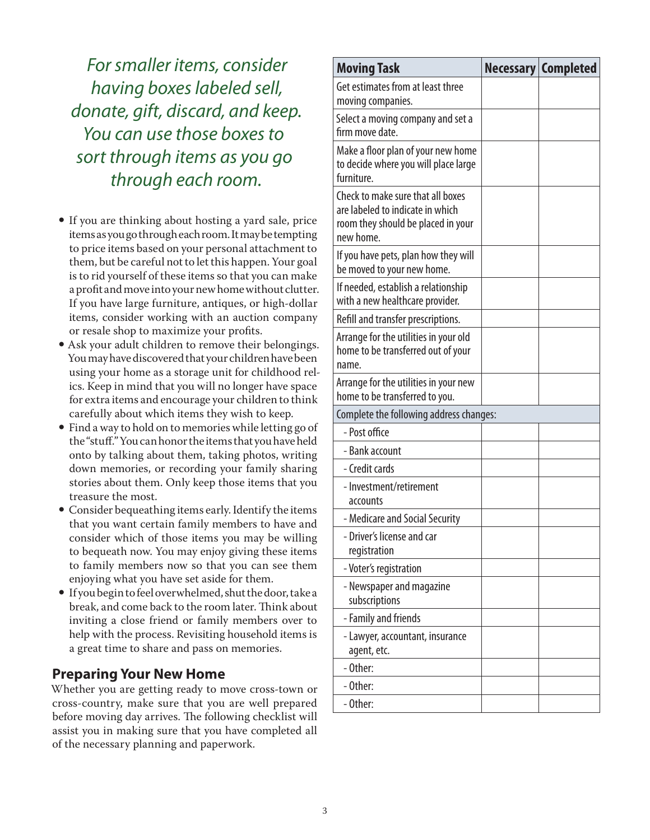*For smaller items, consider having boxes labeled sell, donate, gift, discard, and keep. You can use those boxes to sort through items as you go through each room.*

- If you are thinking about hosting a yard sale, price items as you go through each room. It may be tempting to price items based on your personal attachment to them, but be careful not to let this happen. Your goal is to rid yourself of these items so that you can make a profit and move into your new home without clutter. If you have large furniture, antiques, or high-dollar items, consider working with an auction company or resale shop to maximize your profits.
- Ask your adult children to remove their belongings. You may have discovered that your children have been using your home as a storage unit for childhood relics. Keep in mind that you will no longer have space for extra items and encourage your children to think carefully about which items they wish to keep.
- Find a way to hold on to memories while letting go of the "stuff." You can honor the items that you have held onto by talking about them, taking photos, writing down memories, or recording your family sharing stories about them. Only keep those items that you treasure the most.
- Consider bequeathing items early. Identify the items that you want certain family members to have and consider which of those items you may be willing to bequeath now. You may enjoy giving these items to family members now so that you can see them enjoying what you have set aside for them.
- If you begin to feel overwhelmed, shut the door, take a break, and come back to the room later. Think about inviting a close friend or family members over to help with the process. Revisiting household items is a great time to share and pass on memories.

### **Preparing Your New Home**

Whether you are getting ready to move cross-town or cross-country, make sure that you are well prepared before moving day arrives. The following checklist will assist you in making sure that you have completed all of the necessary planning and paperwork.

| <b>Moving Task</b>                                                                                                       |  | Necessary   Completed |  |  |  |
|--------------------------------------------------------------------------------------------------------------------------|--|-----------------------|--|--|--|
| Get estimates from at least three<br>moving companies.                                                                   |  |                       |  |  |  |
| Select a moving company and set a<br>firm move date.                                                                     |  |                       |  |  |  |
| Make a floor plan of your new home<br>to decide where you will place large<br>furniture.                                 |  |                       |  |  |  |
| Check to make sure that all boxes<br>are labeled to indicate in which<br>room they should be placed in your<br>new home. |  |                       |  |  |  |
| If you have pets, plan how they will<br>be moved to your new home.                                                       |  |                       |  |  |  |
| If needed, establish a relationship<br>with a new healthcare provider.                                                   |  |                       |  |  |  |
| Refill and transfer prescriptions.                                                                                       |  |                       |  |  |  |
| Arrange for the utilities in your old<br>home to be transferred out of your<br>name.                                     |  |                       |  |  |  |
| Arrange for the utilities in your new<br>home to be transferred to you.                                                  |  |                       |  |  |  |
| Complete the following address changes:                                                                                  |  |                       |  |  |  |
| - Post office                                                                                                            |  |                       |  |  |  |
| - Bank account                                                                                                           |  |                       |  |  |  |
| - Credit cards                                                                                                           |  |                       |  |  |  |
| - Investment/retirement<br>accounts                                                                                      |  |                       |  |  |  |
| - Medicare and Social Security                                                                                           |  |                       |  |  |  |
| Driver's license and car<br>registration                                                                                 |  |                       |  |  |  |
| - Voter's registration                                                                                                   |  |                       |  |  |  |
| - Newspaper and magazine<br>subscriptions                                                                                |  |                       |  |  |  |
| - Family and friends                                                                                                     |  |                       |  |  |  |
| - Lawyer, accountant, insurance<br>agent, etc.                                                                           |  |                       |  |  |  |
| - Other:                                                                                                                 |  |                       |  |  |  |
| - Other:                                                                                                                 |  |                       |  |  |  |
| - Other:                                                                                                                 |  |                       |  |  |  |